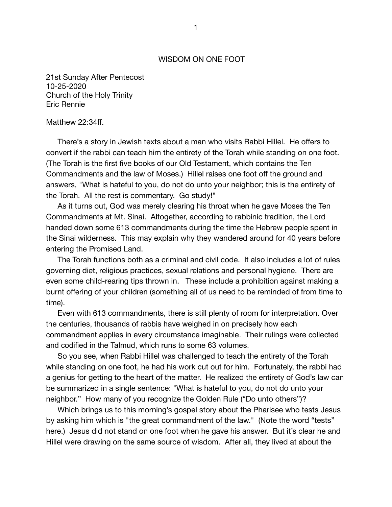## WISDOM ON ONE FOOT

21st Sunday After Pentecost 10-25-2020 Church of the Holy Trinity Eric Rennie

## Matthew 22:34ff.

There's a story in Jewish texts about a man who visits Rabbi Hillel. He offers to convert if the rabbi can teach him the entirety of the Torah while standing on one foot. (The Torah is the first five books of our Old Testament, which contains the Ten Commandments and the law of Moses.) Hillel raises one foot off the ground and answers, "What is hateful to you, do not do unto your neighbor; this is the entirety of the Torah. All the rest is commentary. Go study!"

As it turns out, God was merely clearing his throat when he gave Moses the Ten Commandments at Mt. Sinai. Altogether, according to rabbinic tradition, the Lord handed down some 613 commandments during the time the Hebrew people spent in the Sinai wilderness. This may explain why they wandered around for 40 years before entering the Promised Land.

The Torah functions both as a criminal and civil code. It also includes a lot of rules governing diet, religious practices, sexual relations and personal hygiene. There are even some child-rearing tips thrown in. These include a prohibition against making a burnt offering of your children (something all of us need to be reminded of from time to time).

Even with 613 commandments, there is still plenty of room for interpretation. Over the centuries, thousands of rabbis have weighed in on precisely how each commandment applies in every circumstance imaginable. Their rulings were collected and codified in the Talmud, which runs to some 63 volumes.

So you see, when Rabbi Hillel was challenged to teach the entirety of the Torah while standing on one foot, he had his work cut out for him. Fortunately, the rabbi had a genius for getting to the heart of the matter. He realized the entirety of God's law can be summarized in a single sentence: "What is hateful to you, do not do unto your neighbor." How many of you recognize the Golden Rule ("Do unto others")?

Which brings us to this morning's gospel story about the Pharisee who tests Jesus by asking him which is "the great commandment of the law." (Note the word "tests" here.) Jesus did not stand on one foot when he gave his answer. But it's clear he and Hillel were drawing on the same source of wisdom. After all, they lived at about the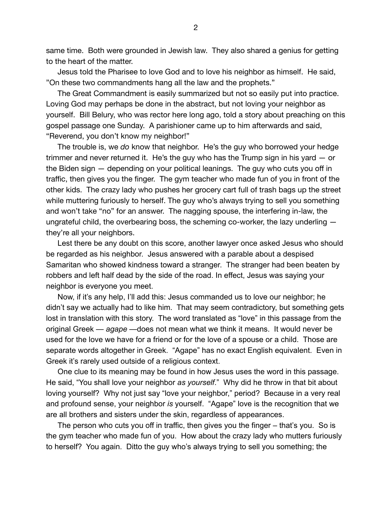same time. Both were grounded in Jewish law. They also shared a genius for getting to the heart of the matter.

Jesus told the Pharisee to love God and to love his neighbor as himself. He said, "On these two commandments hang all the law and the prophets."

The Great Commandment is easily summarized but not so easily put into practice. Loving God may perhaps be done in the abstract, but not loving your neighbor as yourself. Bill Belury, who was rector here long ago, told a story about preaching on this gospel passage one Sunday. A parishioner came up to him afterwards and said, "Reverend, you don't know my neighbor!"

The trouble is, we *do* know that neighbor. He's the guy who borrowed your hedge trimmer and never returned it. He's the guy who has the Trump sign in his yard — or the Biden sign — depending on your political leanings. The guy who cuts you off in traffic, then gives you the finger. The gym teacher who made fun of you in front of the other kids. The crazy lady who pushes her grocery cart full of trash bags up the street while muttering furiously to herself. The guy who's always trying to sell you something and won't take "no" for an answer. The nagging spouse, the interfering in-law, the ungrateful child, the overbearing boss, the scheming co-worker, the lazy underling they're all your neighbors.

Lest there be any doubt on this score, another lawyer once asked Jesus who should be regarded as his neighbor. Jesus answered with a parable about a despised Samaritan who showed kindness toward a stranger. The stranger had been beaten by robbers and left half dead by the side of the road. In effect, Jesus was saying your neighbor is everyone you meet.

Now, if it's any help, I'll add this: Jesus commanded us to love our neighbor; he didn't say we actually had to like him. That may seem contradictory, but something gets lost in translation with this story. The word translated as "love" in this passage from the original Greek — *agape* —does not mean what we think it means. It would never be used for the love we have for a friend or for the love of a spouse or a child. Those are separate words altogether in Greek. "Agape" has no exact English equivalent. Even in Greek it's rarely used outside of a religious context.

One clue to its meaning may be found in how Jesus uses the word in this passage. He said, "You shall love your neighbor *as yourself*." Why did he throw in that bit about loving yourself?Why not just say "love your neighbor," period? Because in a very real and profound sense, your neighbor *is* yourself. "Agape" love is the recognition that we are all brothers and sisters under the skin, regardless of appearances.

The person who cuts you off in traffic, then gives you the finger – that's you. So is the gym teacher who made fun of you. How about the crazy lady who mutters furiously to herself? You again. Ditto the guy who's always trying to sell you something; the